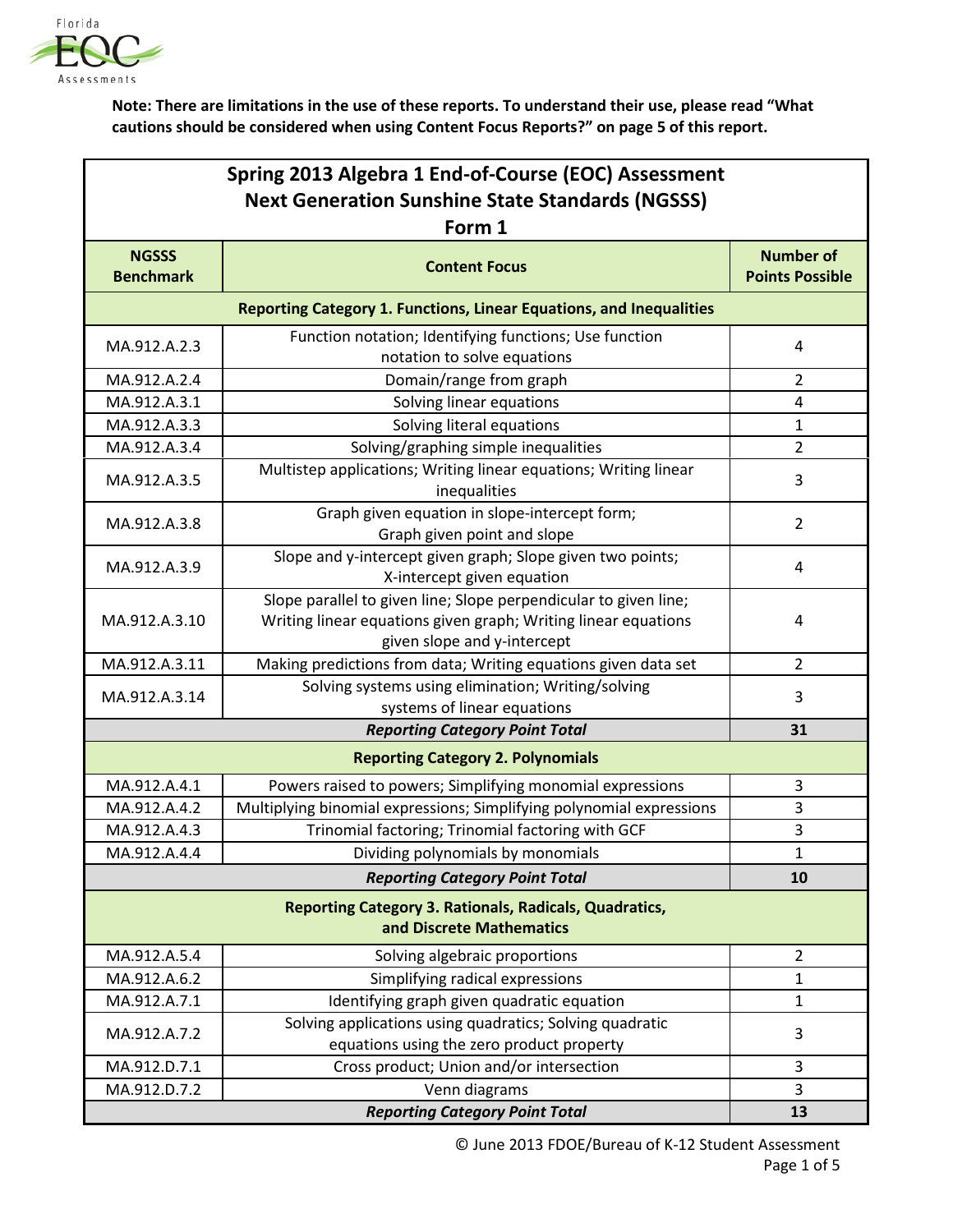

**Note: There are limitations in the use of these reports. To understand their use, please read "What cautions should be considered when using Content Focus Reports?" on page 5 of this report.**

| Spring 2013 Algebra 1 End-of-Course (EOC) Assessment    |
|---------------------------------------------------------|
| <b>Next Generation Sunshine State Standards (NGSSS)</b> |
|                                                         |

| Form 1                                                                                    |                                                                                                                                                                   |                                            |  |
|-------------------------------------------------------------------------------------------|-------------------------------------------------------------------------------------------------------------------------------------------------------------------|--------------------------------------------|--|
| <b>NGSSS</b><br><b>Benchmark</b>                                                          | <b>Content Focus</b>                                                                                                                                              | <b>Number of</b><br><b>Points Possible</b> |  |
|                                                                                           | Reporting Category 1. Functions, Linear Equations, and Inequalities                                                                                               |                                            |  |
| MA.912.A.2.3                                                                              | Function notation; Identifying functions; Use function<br>notation to solve equations                                                                             | 4                                          |  |
| MA.912.A.2.4                                                                              | Domain/range from graph                                                                                                                                           | $\overline{2}$                             |  |
| MA.912.A.3.1                                                                              | Solving linear equations                                                                                                                                          | 4                                          |  |
| MA.912.A.3.3                                                                              | Solving literal equations                                                                                                                                         | $\mathbf{1}$                               |  |
| MA.912.A.3.4                                                                              | Solving/graphing simple inequalities                                                                                                                              | $\overline{2}$                             |  |
| MA.912.A.3.5                                                                              | Multistep applications; Writing linear equations; Writing linear<br>inequalities                                                                                  | 3                                          |  |
| MA.912.A.3.8                                                                              | Graph given equation in slope-intercept form;<br>Graph given point and slope                                                                                      | $\overline{2}$                             |  |
| MA.912.A.3.9                                                                              | Slope and y-intercept given graph; Slope given two points;<br>X-intercept given equation                                                                          | 4                                          |  |
| MA.912.A.3.10                                                                             | Slope parallel to given line; Slope perpendicular to given line;<br>Writing linear equations given graph; Writing linear equations<br>given slope and y-intercept | 4                                          |  |
| MA.912.A.3.11                                                                             | Making predictions from data; Writing equations given data set                                                                                                    | $\overline{2}$                             |  |
| MA.912.A.3.14                                                                             | Solving systems using elimination; Writing/solving<br>systems of linear equations                                                                                 | 3                                          |  |
| <b>Reporting Category Point Total</b>                                                     |                                                                                                                                                                   | 31                                         |  |
|                                                                                           | <b>Reporting Category 2. Polynomials</b>                                                                                                                          |                                            |  |
| MA.912.A.4.1                                                                              | Powers raised to powers; Simplifying monomial expressions                                                                                                         | 3                                          |  |
| MA.912.A.4.2                                                                              | Multiplying binomial expressions; Simplifying polynomial expressions                                                                                              | 3                                          |  |
| MA.912.A.4.3                                                                              | Trinomial factoring; Trinomial factoring with GCF                                                                                                                 | 3                                          |  |
| MA.912.A.4.4                                                                              | Dividing polynomials by monomials                                                                                                                                 | 1                                          |  |
|                                                                                           | <b>Reporting Category Point Total</b>                                                                                                                             | 10                                         |  |
| <b>Reporting Category 3. Rationals, Radicals, Quadratics,</b><br>and Discrete Mathematics |                                                                                                                                                                   |                                            |  |
| MA.912.A.5.4                                                                              | Solving algebraic proportions                                                                                                                                     | $\overline{2}$                             |  |
| MA.912.A.6.2                                                                              | Simplifying radical expressions                                                                                                                                   | 1                                          |  |
| MA.912.A.7.1                                                                              | Identifying graph given quadratic equation                                                                                                                        | $\mathbf{1}$                               |  |
| MA.912.A.7.2                                                                              | Solving applications using quadratics; Solving quadratic<br>equations using the zero product property                                                             | 3                                          |  |
| MA.912.D.7.1                                                                              | Cross product; Union and/or intersection                                                                                                                          | 3                                          |  |
| MA.912.D.7.2                                                                              | Venn diagrams                                                                                                                                                     | 3                                          |  |
|                                                                                           | <b>Reporting Category Point Total</b>                                                                                                                             | 13                                         |  |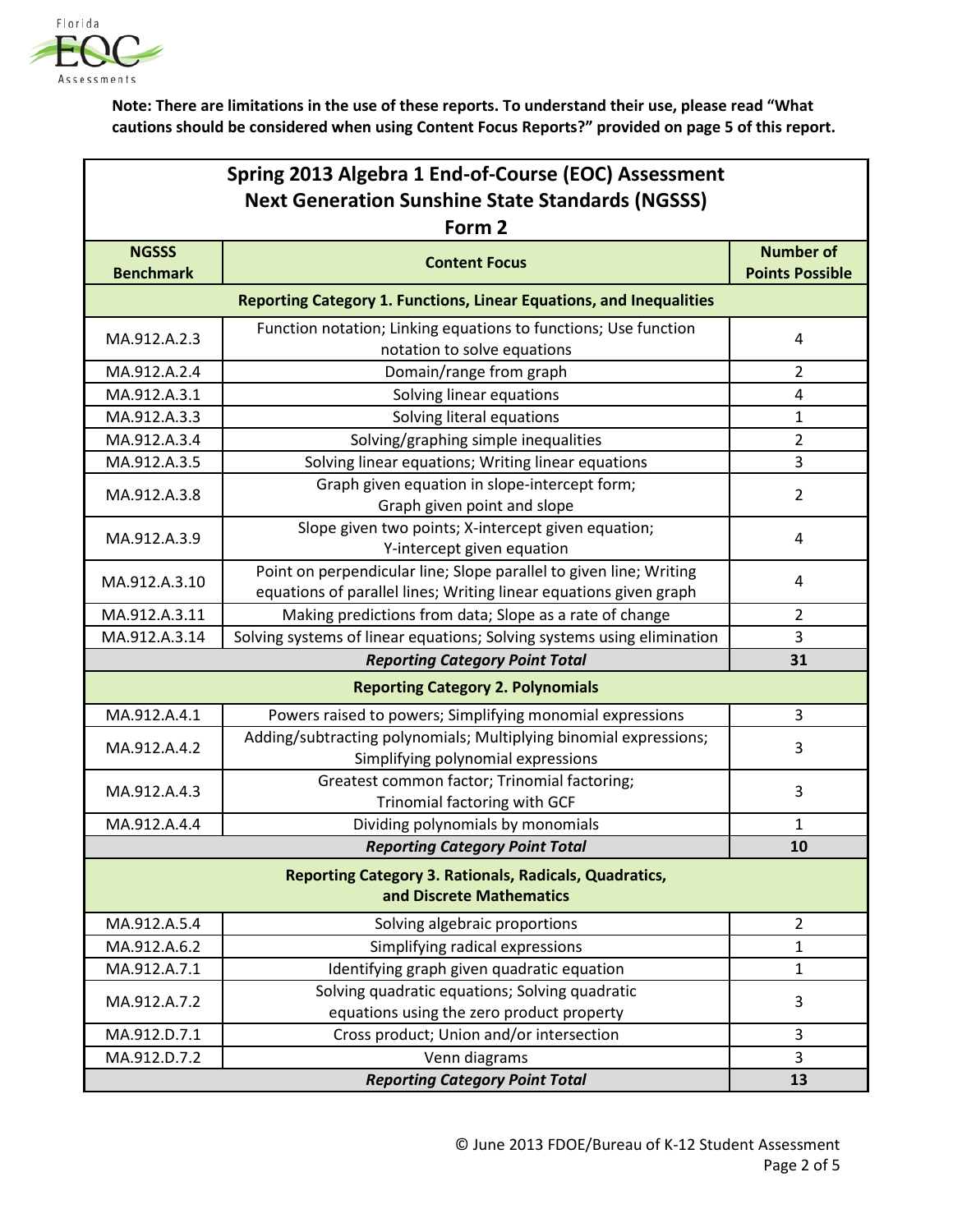

**Note: There are limitations in the use of these reports. To understand their use, please read "What cautions should be considered when using Content Focus Reports?" provided on page 5 of this report.**

| Spring 2013 Algebra 1 End-of-Course (EOC) Assessment    |
|---------------------------------------------------------|
| <b>Next Generation Sunshine State Standards (NGSSS)</b> |

| Form 2                                                                                    |                                                                                                                                         |                                            |  |
|-------------------------------------------------------------------------------------------|-----------------------------------------------------------------------------------------------------------------------------------------|--------------------------------------------|--|
| <b>NGSSS</b><br><b>Benchmark</b>                                                          | <b>Content Focus</b>                                                                                                                    | <b>Number of</b><br><b>Points Possible</b> |  |
|                                                                                           | <b>Reporting Category 1. Functions, Linear Equations, and Inequalities</b>                                                              |                                            |  |
| MA.912.A.2.3                                                                              | Function notation; Linking equations to functions; Use function<br>notation to solve equations                                          | 4                                          |  |
| MA.912.A.2.4                                                                              | Domain/range from graph                                                                                                                 | 2                                          |  |
| MA.912.A.3.1                                                                              | Solving linear equations                                                                                                                | 4                                          |  |
| MA.912.A.3.3                                                                              | Solving literal equations                                                                                                               | 1                                          |  |
| MA.912.A.3.4                                                                              | Solving/graphing simple inequalities                                                                                                    | 2                                          |  |
| MA.912.A.3.5                                                                              | Solving linear equations; Writing linear equations                                                                                      | 3                                          |  |
| MA.912.A.3.8                                                                              | Graph given equation in slope-intercept form;<br>Graph given point and slope                                                            | $\overline{2}$                             |  |
| MA.912.A.3.9                                                                              | Slope given two points; X-intercept given equation;<br>Y-intercept given equation                                                       | 4                                          |  |
| MA.912.A.3.10                                                                             | Point on perpendicular line; Slope parallel to given line; Writing<br>equations of parallel lines; Writing linear equations given graph | 4                                          |  |
| MA.912.A.3.11                                                                             | Making predictions from data; Slope as a rate of change                                                                                 | 2                                          |  |
| MA.912.A.3.14                                                                             | Solving systems of linear equations; Solving systems using elimination                                                                  | 3                                          |  |
|                                                                                           | <b>Reporting Category Point Total</b>                                                                                                   | 31                                         |  |
|                                                                                           | <b>Reporting Category 2. Polynomials</b>                                                                                                |                                            |  |
| MA.912.A.4.1                                                                              | Powers raised to powers; Simplifying monomial expressions                                                                               | 3                                          |  |
| MA.912.A.4.2                                                                              | Adding/subtracting polynomials; Multiplying binomial expressions;<br>Simplifying polynomial expressions                                 | 3                                          |  |
| MA.912.A.4.3                                                                              | Greatest common factor; Trinomial factoring;<br>Trinomial factoring with GCF                                                            | 3                                          |  |
| MA.912.A.4.4                                                                              | Dividing polynomials by monomials                                                                                                       | 1                                          |  |
|                                                                                           | <b>Reporting Category Point Total</b>                                                                                                   | 10                                         |  |
| <b>Reporting Category 3. Rationals, Radicals, Quadratics,</b><br>and Discrete Mathematics |                                                                                                                                         |                                            |  |
| MA.912.A.5.4                                                                              | Solving algebraic proportions                                                                                                           | 2                                          |  |
| MA.912.A.6.2                                                                              | Simplifying radical expressions                                                                                                         | $\mathbf{1}$                               |  |
| MA.912.A.7.1                                                                              | Identifying graph given quadratic equation                                                                                              | 1                                          |  |
| MA.912.A.7.2                                                                              | Solving quadratic equations; Solving quadratic<br>equations using the zero product property                                             | 3                                          |  |
| MA.912.D.7.1                                                                              | Cross product; Union and/or intersection                                                                                                | 3                                          |  |
| MA.912.D.7.2                                                                              | Venn diagrams                                                                                                                           | 3                                          |  |
| <b>Reporting Category Point Total</b>                                                     |                                                                                                                                         | 13                                         |  |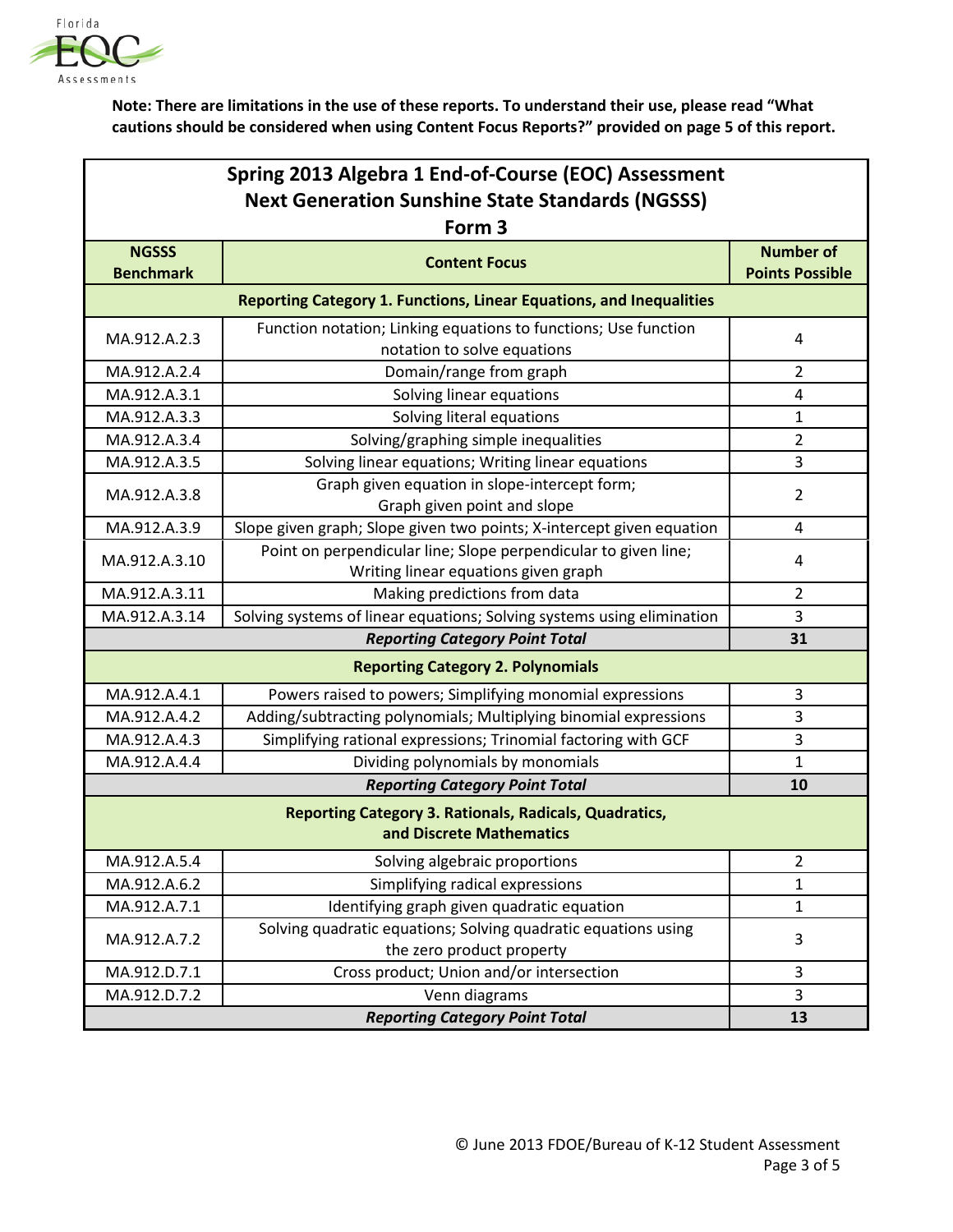

**Note: There are limitations in the use of these reports. To understand their use, please read "What cautions should be considered when using Content Focus Reports?" provided on page 5 of this report.**

| Spring 2013 Algebra 1 End-of-Course (EOC) Assessment    |
|---------------------------------------------------------|
| <b>Next Generation Sunshine State Standards (NGSSS)</b> |

| Form <sub>3</sub>                                                                         |                                                                                                         |                                            |  |  |
|-------------------------------------------------------------------------------------------|---------------------------------------------------------------------------------------------------------|--------------------------------------------|--|--|
| <b>NGSSS</b><br><b>Benchmark</b>                                                          | <b>Content Focus</b>                                                                                    | <b>Number of</b><br><b>Points Possible</b> |  |  |
|                                                                                           | Reporting Category 1. Functions, Linear Equations, and Inequalities                                     |                                            |  |  |
| MA.912.A.2.3                                                                              | Function notation; Linking equations to functions; Use function<br>notation to solve equations          | 4                                          |  |  |
| MA.912.A.2.4                                                                              | Domain/range from graph                                                                                 | $\overline{2}$                             |  |  |
| MA.912.A.3.1                                                                              | Solving linear equations                                                                                | $\overline{\mathbf{4}}$                    |  |  |
| MA.912.A.3.3                                                                              | Solving literal equations                                                                               | 1                                          |  |  |
| MA.912.A.3.4                                                                              | Solving/graphing simple inequalities                                                                    | $\overline{2}$                             |  |  |
| MA.912.A.3.5                                                                              | Solving linear equations; Writing linear equations                                                      | 3                                          |  |  |
| MA.912.A.3.8                                                                              | Graph given equation in slope-intercept form;<br>Graph given point and slope                            | $\overline{2}$                             |  |  |
| MA.912.A.3.9                                                                              | Slope given graph; Slope given two points; X-intercept given equation                                   | 4                                          |  |  |
| MA.912.A.3.10                                                                             | Point on perpendicular line; Slope perpendicular to given line;<br>Writing linear equations given graph | 4                                          |  |  |
| MA.912.A.3.11                                                                             | Making predictions from data                                                                            | $\overline{2}$                             |  |  |
| MA.912.A.3.14                                                                             | Solving systems of linear equations; Solving systems using elimination                                  | 3                                          |  |  |
|                                                                                           | <b>Reporting Category Point Total</b>                                                                   | 31                                         |  |  |
|                                                                                           | <b>Reporting Category 2. Polynomials</b>                                                                |                                            |  |  |
| MA.912.A.4.1                                                                              | Powers raised to powers; Simplifying monomial expressions                                               | 3                                          |  |  |
| MA.912.A.4.2                                                                              | Adding/subtracting polynomials; Multiplying binomial expressions                                        | 3                                          |  |  |
| MA.912.A.4.3                                                                              | Simplifying rational expressions; Trinomial factoring with GCF                                          | 3                                          |  |  |
| MA.912.A.4.4                                                                              | Dividing polynomials by monomials                                                                       | $\mathbf{1}$                               |  |  |
|                                                                                           | <b>Reporting Category Point Total</b>                                                                   | 10                                         |  |  |
| <b>Reporting Category 3. Rationals, Radicals, Quadratics,</b><br>and Discrete Mathematics |                                                                                                         |                                            |  |  |
| MA.912.A.5.4                                                                              | Solving algebraic proportions                                                                           | $\overline{2}$                             |  |  |
| MA.912.A.6.2                                                                              | Simplifying radical expressions                                                                         | 1                                          |  |  |
| MA.912.A.7.1                                                                              | Identifying graph given quadratic equation                                                              | $\mathbf{1}$                               |  |  |
| MA.912.A.7.2                                                                              | Solving quadratic equations; Solving quadratic equations using<br>the zero product property             | 3                                          |  |  |
| MA.912.D.7.1                                                                              | Cross product; Union and/or intersection                                                                | 3                                          |  |  |
| MA.912.D.7.2                                                                              | Venn diagrams                                                                                           | 3                                          |  |  |
|                                                                                           | <b>Reporting Category Point Total</b>                                                                   | 13                                         |  |  |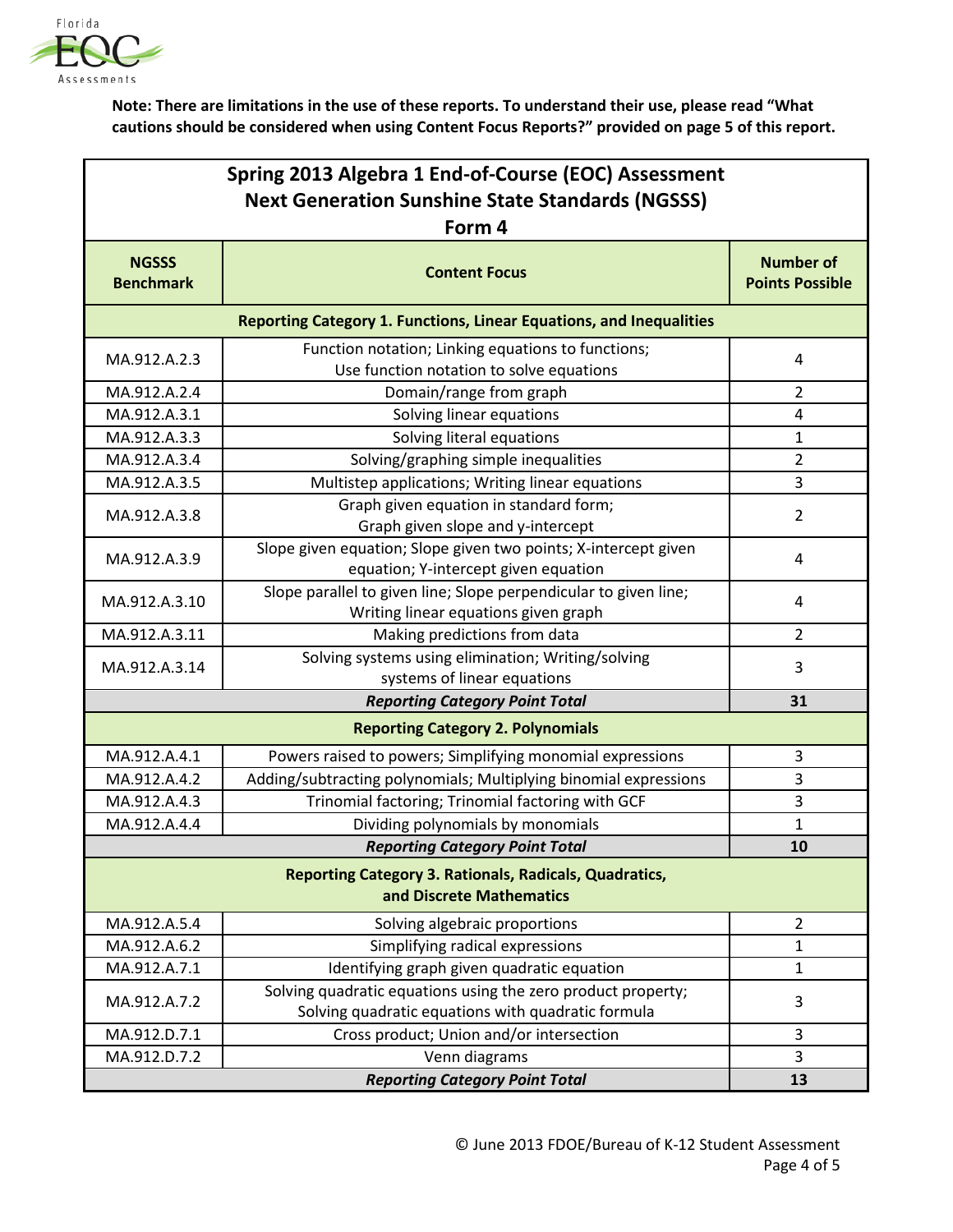

**Note: There are limitations in the use of these reports. To understand their use, please read "What cautions should be considered when using Content Focus Reports?" provided on page 5 of this report.**

| Spring 2013 Algebra 1 End-of-Course (EOC) Assessment                                      |                                                                                                                    |                                            |  |
|-------------------------------------------------------------------------------------------|--------------------------------------------------------------------------------------------------------------------|--------------------------------------------|--|
| <b>Next Generation Sunshine State Standards (NGSSS)</b>                                   |                                                                                                                    |                                            |  |
|                                                                                           | Form 4                                                                                                             |                                            |  |
| <b>NGSSS</b><br><b>Benchmark</b>                                                          | <b>Content Focus</b>                                                                                               | <b>Number of</b><br><b>Points Possible</b> |  |
|                                                                                           | Reporting Category 1. Functions, Linear Equations, and Inequalities                                                |                                            |  |
| MA.912.A.2.3                                                                              | Function notation; Linking equations to functions;<br>Use function notation to solve equations                     | 4                                          |  |
| MA.912.A.2.4                                                                              | Domain/range from graph                                                                                            | 2                                          |  |
| MA.912.A.3.1                                                                              | Solving linear equations                                                                                           | 4                                          |  |
| MA.912.A.3.3                                                                              | Solving literal equations                                                                                          | 1                                          |  |
| MA.912.A.3.4                                                                              | Solving/graphing simple inequalities                                                                               | 2                                          |  |
| MA.912.A.3.5                                                                              | Multistep applications; Writing linear equations                                                                   | 3                                          |  |
| MA.912.A.3.8                                                                              | Graph given equation in standard form;<br>Graph given slope and y-intercept                                        | $\overline{2}$                             |  |
| MA.912.A.3.9                                                                              | Slope given equation; Slope given two points; X-intercept given<br>equation; Y-intercept given equation            | 4                                          |  |
| MA.912.A.3.10                                                                             | Slope parallel to given line; Slope perpendicular to given line;<br>Writing linear equations given graph           | 4                                          |  |
| MA.912.A.3.11                                                                             | Making predictions from data                                                                                       | $\overline{2}$                             |  |
| MA.912.A.3.14                                                                             | Solving systems using elimination; Writing/solving<br>systems of linear equations                                  | 3                                          |  |
|                                                                                           | <b>Reporting Category Point Total</b>                                                                              | 31                                         |  |
|                                                                                           | <b>Reporting Category 2. Polynomials</b>                                                                           |                                            |  |
| MA.912.A.4.1                                                                              | Powers raised to powers; Simplifying monomial expressions                                                          | 3                                          |  |
| MA.912.A.4.2                                                                              | Adding/subtracting polynomials; Multiplying binomial expressions                                                   | 3                                          |  |
| MA.912.A.4.3                                                                              | Trinomial factoring; Trinomial factoring with GCF                                                                  | 3                                          |  |
| MA.912.A.4.4                                                                              | Dividing polynomials by monomials                                                                                  | 1                                          |  |
|                                                                                           | <b>Reporting Category Point Total</b>                                                                              | 10                                         |  |
| <b>Reporting Category 3. Rationals, Radicals, Quadratics,</b><br>and Discrete Mathematics |                                                                                                                    |                                            |  |
| MA.912.A.5.4                                                                              | Solving algebraic proportions                                                                                      | $\overline{2}$                             |  |
| MA.912.A.6.2                                                                              | Simplifying radical expressions                                                                                    | 1                                          |  |
| MA.912.A.7.1                                                                              | Identifying graph given quadratic equation                                                                         | 1                                          |  |
| MA.912.A.7.2                                                                              | Solving quadratic equations using the zero product property;<br>Solving quadratic equations with quadratic formula | 3                                          |  |
| MA.912.D.7.1                                                                              | Cross product; Union and/or intersection                                                                           | 3                                          |  |
| MA.912.D.7.2                                                                              | Venn diagrams                                                                                                      | 3                                          |  |
|                                                                                           | <b>Reporting Category Point Total</b>                                                                              | 13                                         |  |